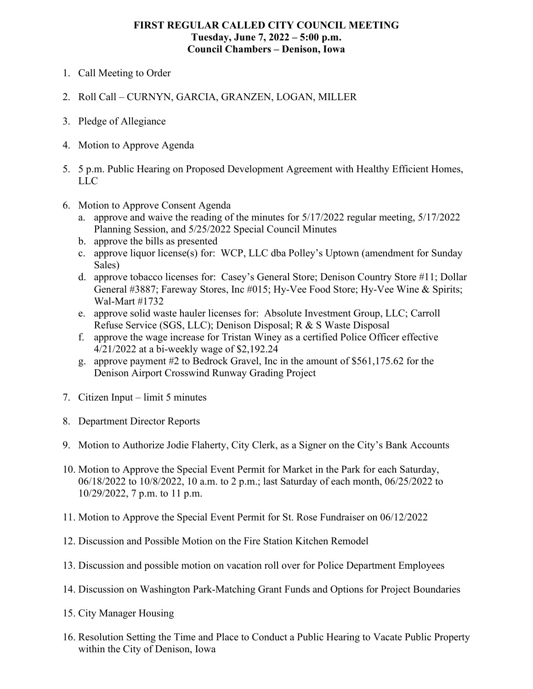## **FIRST REGULAR CALLED CITY COUNCIL MEETING Tuesday, June 7, 2022 ‒ 5:00 p.m. Council Chambers ‒ Denison, Iowa**

- 1. Call Meeting to Order
- 2. Roll Call CURNYN, GARCIA, GRANZEN, LOGAN, MILLER
- 3. Pledge of Allegiance
- 4. Motion to Approve Agenda
- 5. 5 p.m. Public Hearing on Proposed Development Agreement with Healthy Efficient Homes, LLC
- 6. Motion to Approve Consent Agenda
	- a. approve and waive the reading of the minutes for 5/17/2022 regular meeting, 5/17/2022 Planning Session, and 5/25/2022 Special Council Minutes
	- b. approve the bills as presented
	- c. approve liquor license(s) for: WCP, LLC dba Polley's Uptown (amendment for Sunday Sales)
	- d. approve tobacco licenses for: Casey's General Store; Denison Country Store #11; Dollar General #3887; Fareway Stores, Inc #015; Hy-Vee Food Store; Hy-Vee Wine & Spirits; Wal-Mart #1732
	- e. approve solid waste hauler licenses for: Absolute Investment Group, LLC; Carroll Refuse Service (SGS, LLC); Denison Disposal; R & S Waste Disposal
	- f. approve the wage increase for Tristan Winey as a certified Police Officer effective 4/21/2022 at a bi-weekly wage of \$2,192.24
	- g. approve payment #2 to Bedrock Gravel, Inc in the amount of \$561,175.62 for the Denison Airport Crosswind Runway Grading Project
- 7. Citizen Input limit 5 minutes
- 8. Department Director Reports
- 9. Motion to Authorize Jodie Flaherty, City Clerk, as a Signer on the City's Bank Accounts
- 10. Motion to Approve the Special Event Permit for Market in the Park for each Saturday, 06/18/2022 to 10/8/2022, 10 a.m. to 2 p.m.; last Saturday of each month, 06/25/2022 to 10/29/2022, 7 p.m. to 11 p.m.
- 11. Motion to Approve the Special Event Permit for St. Rose Fundraiser on 06/12/2022
- 12. Discussion and Possible Motion on the Fire Station Kitchen Remodel
- 13. Discussion and possible motion on vacation roll over for Police Department Employees
- 14. Discussion on Washington Park-Matching Grant Funds and Options for Project Boundaries
- 15. City Manager Housing
- 16. Resolution Setting the Time and Place to Conduct a Public Hearing to Vacate Public Property within the City of Denison, Iowa